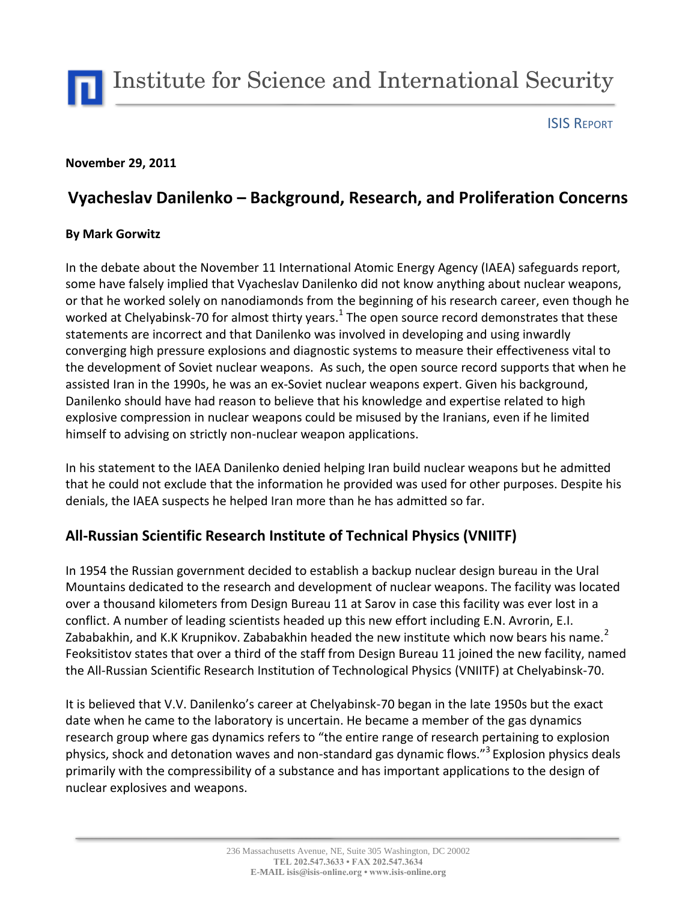Institute for Science and International Security

ISIS REPORT

### **November 29, 2011**

# **Vyacheslav Danilenko – Background, Research, and Proliferation Concerns**

### **By Mark Gorwitz**

In the debate about the November 11 International Atomic Energy Agency (IAEA) safeguards report, some have falsely implied that Vyacheslav Danilenko did not know anything about nuclear weapons, or that he worked solely on nanodiamonds from the beginning of his research career, even though he worked at Chelyabinsk-70 for almost thirty years.<sup>1</sup> The open source record demonstrates that these statements are incorrect and that Danilenko was involved in developing and using inwardly converging high pressure explosions and diagnostic systems to measure their effectiveness vital to the development of Soviet nuclear weapons. As such, the open source record supports that when he assisted Iran in the 1990s, he was an ex-Soviet nuclear weapons expert. Given his background, Danilenko should have had reason to believe that his knowledge and expertise related to high explosive compression in nuclear weapons could be misused by the Iranians, even if he limited himself to advising on strictly non-nuclear weapon applications.

In his statement to the IAEA Danilenko denied helping Iran build nuclear weapons but he admitted that he could not exclude that the information he provided was used for other purposes. Despite his denials, the IAEA suspects he helped Iran more than he has admitted so far.

## **All-Russian Scientific Research Institute of Technical Physics (VNIITF)**

In 1954 the Russian government decided to establish a backup nuclear design bureau in the Ural Mountains dedicated to the research and development of nuclear weapons. The facility was located over a thousand kilometers from Design Bureau 11 at Sarov in case this facility was ever lost in a conflict. A number of leading scientists headed up this new effort including E.N. Avrorin, E.I. Zababakhin, and K.K Krupnikov. Zababakhin headed the new institute which now bears his name.<sup>2</sup> Feoksitistov states that over a third of the staff from Design Bureau 11 joined the new facility, named the All-Russian Scientific Research Institution of Technological Physics (VNIITF) at Chelyabinsk-70.

It is believed that V.V. Danilenko's career at Chelyabinsk-70 began in the late 1950s but the exact date when he came to the laboratory is uncertain. He became a member of the gas dynamics research group where gas dynamics refers to "the entire range of research pertaining to explosion physics, shock and detonation waves and non-standard gas dynamic flows."<sup>3</sup> Explosion physics deals primarily with the compressibility of a substance and has important applications to the design of nuclear explosives and weapons.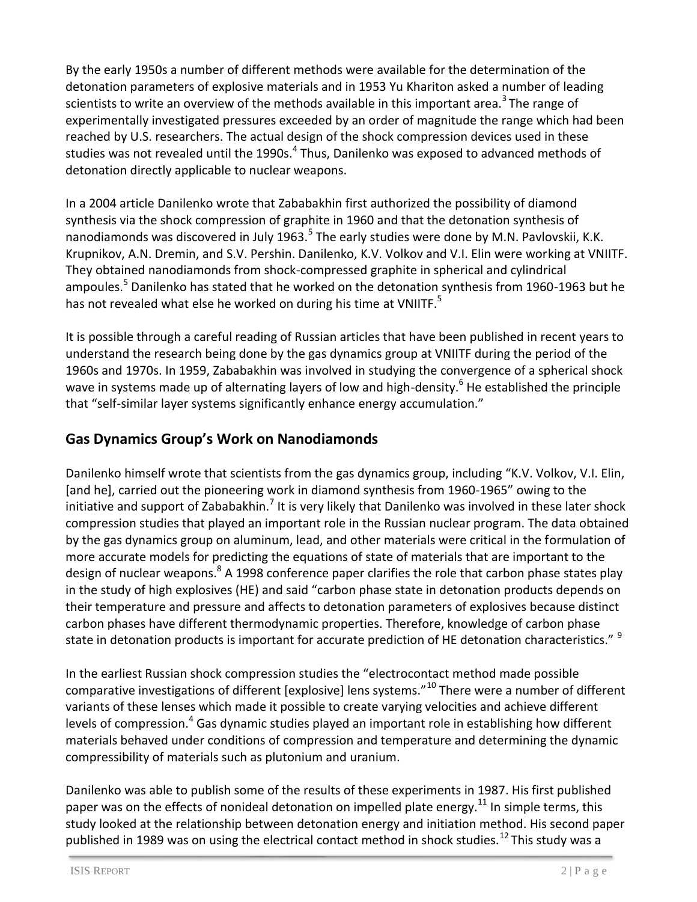By the early 1950s a number of different methods were available for the determination of the detonation parameters of explosive materials and in 1953 Yu Khariton asked a number of leading scientists to write an overview of the methods available in this important area.<sup>3</sup>The range of experimentally investigated pressures exceeded by an order of magnitude the range which had been reached by U.S. researchers. The actual design of the shock compression devices used in these studies was not revealed until the 1990s.<sup>4</sup> Thus, Danilenko was exposed to advanced methods of detonation directly applicable to nuclear weapons.

In a 2004 article Danilenko wrote that Zababakhin first authorized the possibility of diamond synthesis via the shock compression of graphite in 1960 and that the detonation synthesis of nanodiamonds was discovered in July 1963. $5$  The early studies were done by M.N. Pavlovskii, K.K. Krupnikov, A.N. Dremin, and S.V. Pershin. Danilenko, K.V. Volkov and V.I. Elin were working at VNIITF. They obtained nanodiamonds from shock-compressed graphite in spherical and cylindrical ampoules.<sup>5</sup> Danilenko has stated that he worked on the detonation synthesis from 1960-1963 but he has not revealed what else he worked on during his time at VNIITF.<sup>5</sup>

It is possible through a careful reading of Russian articles that have been published in recent years to understand the research being done by the gas dynamics group at VNIITF during the period of the 1960s and 1970s. In 1959, Zababakhin was involved in studying the convergence of a spherical shock wave in systems made up of alternating layers of low and high-density.<sup>6</sup> He established the principle that "self-similar layer systems significantly enhance energy accumulation."

## **Gas Dynamics Group's Work on Nanodiamonds**

Danilenko himself wrote that scientists from the gas dynamics group, including "K.V. Volkov, V.I. Elin, [and he], carried out the pioneering work in diamond synthesis from 1960-1965" owing to the initiative and support of Zababakhin.<sup>7</sup> It is very likely that Danilenko was involved in these later shock compression studies that played an important role in the Russian nuclear program. The data obtained by the gas dynamics group on aluminum, lead, and other materials were critical in the formulation of more accurate models for predicting the equations of state of materials that are important to the design of nuclear weapons.<sup>8</sup> A 1998 conference paper clarifies the role that carbon phase states play in the study of high explosives (HE) and said "carbon phase state in detonation products depends on their temperature and pressure and affects to detonation parameters of explosives because distinct carbon phases have different thermodynamic properties. Therefore, knowledge of carbon phase state in detonation products is important for accurate prediction of HE detonation characteristics." <sup>9</sup>

In the earliest Russian shock compression studies the "electrocontact method made possible comparative investigations of different [explosive] lens systems."<sup>10</sup> There were a number of different variants of these lenses which made it possible to create varying velocities and achieve different levels of compression.<sup>4</sup> Gas dynamic studies played an important role in establishing how different materials behaved under conditions of compression and temperature and determining the dynamic compressibility of materials such as plutonium and uranium.

Danilenko was able to publish some of the results of these experiments in 1987. His first published paper was on the effects of nonideal detonation on impelled plate energy.<sup>11</sup> In simple terms, this study looked at the relationship between detonation energy and initiation method. His second paper published in 1989 was on using the electrical contact method in shock studies.<sup>12</sup> This study was a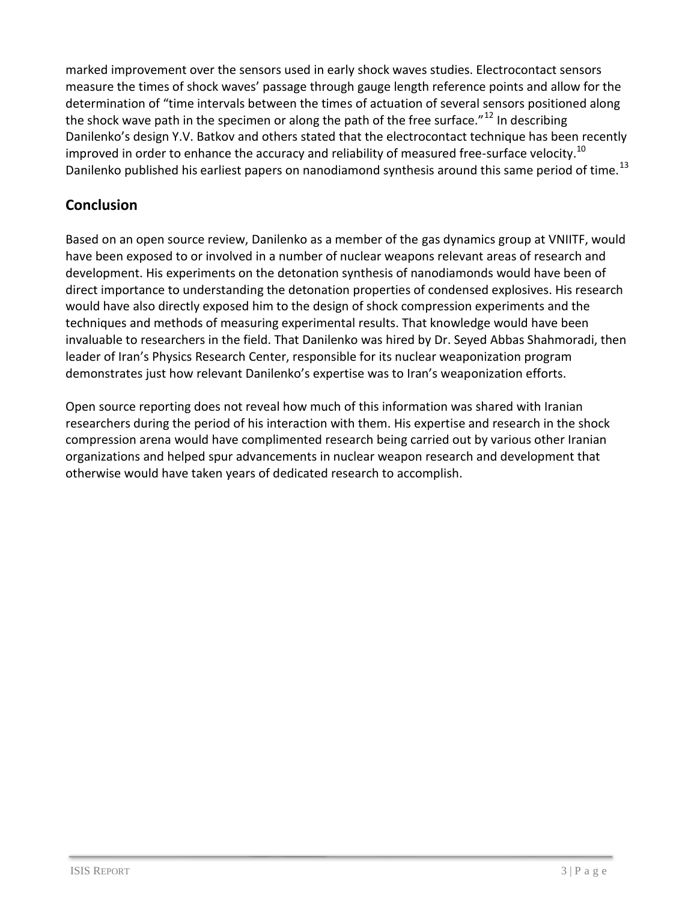marked improvement over the sensors used in early shock waves studies. Electrocontact sensors measure the times of shock waves' passage through gauge length reference points and allow for the determination of "time intervals between the times of actuation of several sensors positioned along the shock wave path in the specimen or along the path of the free surface." $^{12}$  In describing Danilenko's design Y.V. Batkov and others stated that the electrocontact technique has been recently improved in order to enhance the accuracy and reliability of measured free-surface velocity.<sup>10</sup> Danilenko published his earliest papers on nanodiamond synthesis around this same period of time.<sup>13</sup>

## **Conclusion**

Based on an open source review, Danilenko as a member of the gas dynamics group at VNIITF, would have been exposed to or involved in a number of nuclear weapons relevant areas of research and development. His experiments on the detonation synthesis of nanodiamonds would have been of direct importance to understanding the detonation properties of condensed explosives. His research would have also directly exposed him to the design of shock compression experiments and the techniques and methods of measuring experimental results. That knowledge would have been invaluable to researchers in the field. That Danilenko was hired by Dr. Seyed Abbas Shahmoradi, then leader of Iran's Physics Research Center, responsible for its nuclear weaponization program demonstrates just how relevant Danilenko's expertise was to Iran's weaponization efforts.

Open source reporting does not reveal how much of this information was shared with Iranian researchers during the period of his interaction with them. His expertise and research in the shock compression arena would have complimented research being carried out by various other Iranian organizations and helped spur advancements in nuclear weapon research and development that otherwise would have taken years of dedicated research to accomplish.